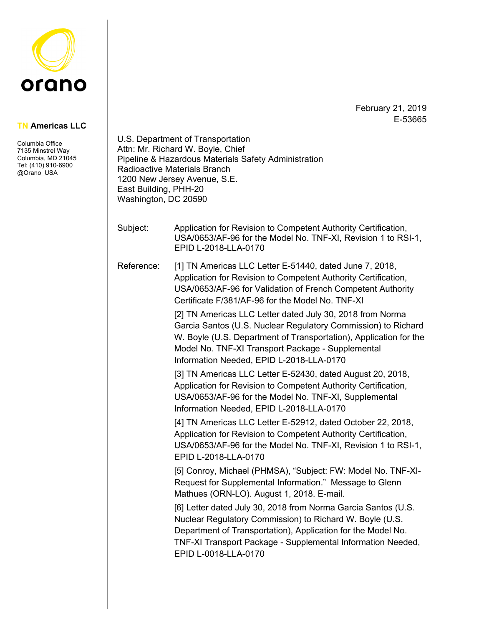

February 21, 2019 E-53665

## **TN Americas LLC**

Columbia Office 7135 Minstrel Way Columbia, MD 21045 Tel: (410) 910-6900 @Orano\_USA

|            | Attn: Mr. Richard W. Boyle, Chief<br>Pipeline & Hazardous Materials Safety Administration<br><b>Radioactive Materials Branch</b><br>1200 New Jersey Avenue, S.E.<br>East Building, PHH-20<br>Washington, DC 20590                                                                                |  |
|------------|--------------------------------------------------------------------------------------------------------------------------------------------------------------------------------------------------------------------------------------------------------------------------------------------------|--|
| Subject:   | Application for Revision to Competent Authority Certification,<br>USA/0653/AF-96 for the Model No. TNF-XI, Revision 1 to RSI-1,<br>EPID L-2018-LLA-0170                                                                                                                                          |  |
| Reference: | [1] TN Americas LLC Letter E-51440, dated June 7, 2018,<br>Application for Revision to Competent Authority Certification,<br>USA/0653/AF-96 for Validation of French Competent Authority<br>Certificate F/381/AF-96 for the Model No. TNF-XI                                                     |  |
|            | [2] TN Americas LLC Letter dated July 30, 2018 from Norma<br>Garcia Santos (U.S. Nuclear Regulatory Commission) to Richard<br>W. Boyle (U.S. Department of Transportation), Application for the<br>Model No. TNF-XI Transport Package - Supplemental<br>Information Needed, EPID L-2018-LLA-0170 |  |
|            | [3] TN Americas LLC Letter E-52430, dated August 20, 2018,<br>Application for Revision to Competent Authority Certification,<br>USA/0653/AF-96 for the Model No. TNF-XI, Supplemental<br>Information Needed, EPID L-2018-LLA-0170                                                                |  |
|            | [4] TN Americas LLC Letter E-52912, dated October 22, 2018,<br>Application for Revision to Competent Authority Certification,<br>USA/0653/AF-96 for the Model No. TNF-XI, Revision 1 to RSI-1,<br>EPID L-2018-LLA-0170                                                                           |  |
|            | [5] Conroy, Michael (PHMSA), "Subject: FW: Model No. TNF-XI-<br>Request for Supplemental Information." Message to Glenn<br>Mathues (ORN-LO). August 1, 2018. E-mail.                                                                                                                             |  |
|            | [6] Letter dated July 30, 2018 from Norma Garcia Santos (U.S.<br>Nuclear Regulatory Commission) to Richard W. Boyle (U.S.<br>Department of Transportation), Application for the Model No.<br>TNF-XI Transport Package - Supplemental Information Needed,<br>EPID L-0018-LLA-0170                 |  |
|            |                                                                                                                                                                                                                                                                                                  |  |

U.S. Department of Transportation